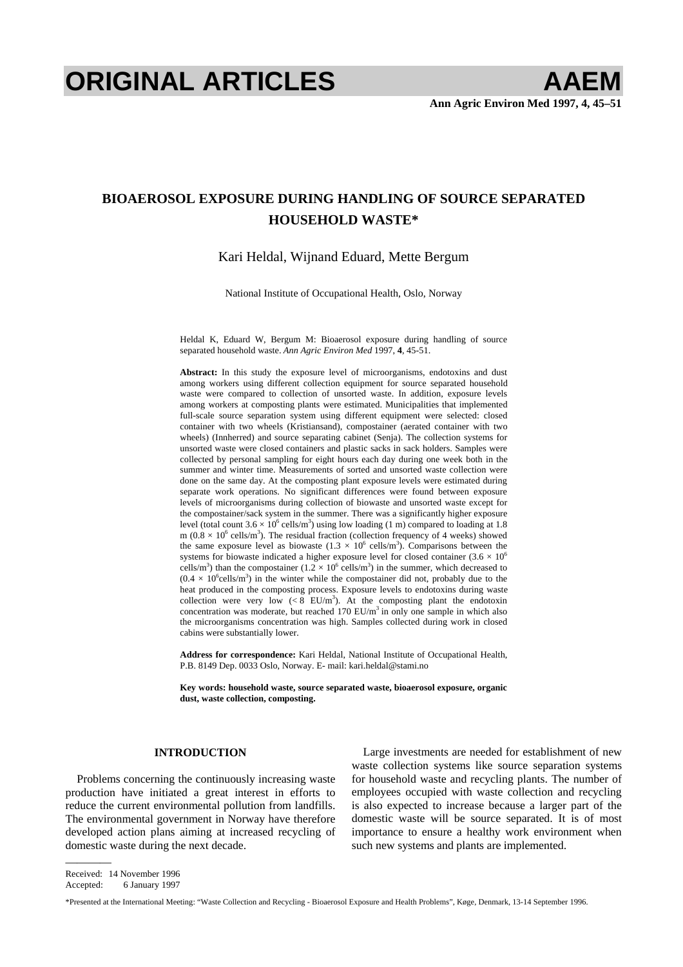# **ORIGINAL ARTICLES AAEM**

# **BIOAEROSOL EXPOSURE DURING HANDLING OF SOURCE SEPARATED HOUSEHOLD WASTE\***

## Kari Heldal, Wijnand Eduard, Mette Bergum

National Institute of Occupational Health, Oslo, Norway

Heldal K, Eduard W, Bergum M: Bioaerosol exposure during handling of source separated household waste. *Ann Agric Environ Med* 1997, **4**, 45-51.

**Abstract:** In this study the exposure level of microorganisms, endotoxins and dust among workers using different collection equipment for source separated household waste were compared to collection of unsorted waste. In addition, exposure levels among workers at composting plants were estimated. Municipalities that implemented full-scale source separation system using different equipment were selected: closed container with two wheels (Kristiansand), compostainer (aerated container with two wheels) (Innherred) and source separating cabinet (Senja). The collection systems for unsorted waste were closed containers and plastic sacks in sack holders. Samples were collected by personal sampling for eight hours each day during one week both in the summer and winter time. Measurements of sorted and unsorted waste collection were done on the same day. At the composting plant exposure levels were estimated during separate work operations. No significant differences were found between exposure levels of microorganisms during collection of biowaste and unsorted waste except for the compostainer/sack system in the summer. There was a significantly higher exposure level (total count  $3.6 \times 10^6$  cells/m<sup>3</sup>) using low loading (1 m) compared to loading at 1.8 m ( $0.8 \times 10^6$  cells/m<sup>3</sup>). The residual fraction (collection frequency of 4 weeks) showed the same exposure level as biowaste  $(1.3 \times 10^6 \text{ cells/m}^3)$ . Comparisons between the systems for biowaste indicated a higher exposure level for closed container (3.6  $\times$  10<sup>6</sup>) cells/m<sup>3</sup>) than the compostainer  $(1.2 \times 10^6 \text{ cells/m}^3)$  in the summer, which decreased to  $(0.4 \times 10^{6}$ cells/m<sup>3</sup>) in the winter while the compostainer did not, probably due to the heat produced in the composting process. Exposure levels to endotoxins during waste collection were very low  $(< 8 \text{ EU/m}^3)$ . At the composting plant the endotoxin concentration was moderate, but reached 170  $EU/m<sup>3</sup>$  in only one sample in which also the microorganisms concentration was high. Samples collected during work in closed cabins were substantially lower.

**Address for correspondence:** Kari Heldal, National Institute of Occupational Health, P.B. 8149 Dep. 0033 Oslo, Norway. E- mail: [kari.heldal@stami.no](mailto:kari.heldal@stami.no) 

**Key words: household waste, source separated waste, bioaerosol exposure, organic dust, waste collection, composting.** 

#### **INTRODUCTION**

Problems concerning the continuously increasing waste production have initiated a great interest in efforts to reduce the current environmental pollution from landfills. The environmental government in Norway have therefore developed action plans aiming at increased recycling of domestic waste during the next decade.

Large investments are needed for establishment of new waste collection systems like source separation systems for household waste and recycling plants. The number of employees occupied with waste collection and recycling is also expected to increase because a larger part of the domestic waste will be source separated. It is of most importance to ensure a healthy work environment when such new systems and plants are implemented.

Received: 14 November 1996

————

Accepted: 6 January 1997

\*Presented at the International Meeting: "Waste Collection and Recycling - Bioaerosol Exposure and Health Problems", Køge, Denmark, 13-14 September 1996.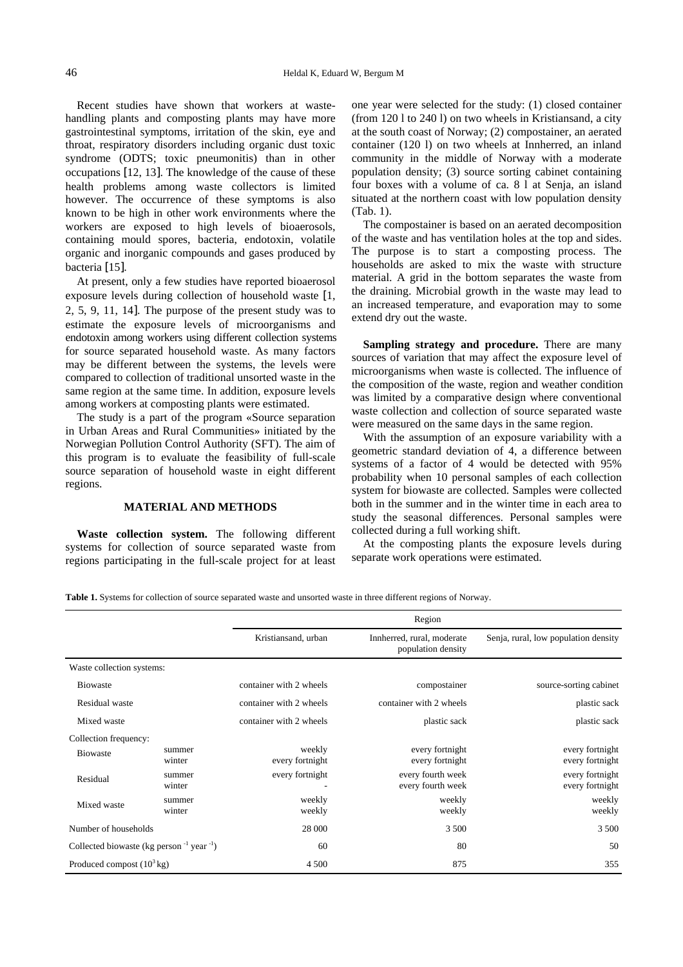<span id="page-1-0"></span>Recent studies have shown that workers at wastehandling plants and composting plants may have more gastrointestinal symptoms, irritation of the skin, eye and throat, respiratory disorders including organic dust toxic syndrome (ODTS; toxic pneumonitis) than in other occupations [12, 13]. The knowledge of the cause of these health problems among waste collectors is limited however. The occurrence of these symptoms is also known to be high in other work environments where the workers are exposed to high levels of bioaerosols, containing mould spores, bacteria, endotoxin, volatile organic and inorganic compounds and gases produced by bacteria [15].

At present, only a few studies have reported bioaerosol exposure levels during collection of household waste [1, 2, 5, 9, 11, 14]. The purpose of the present study was to estimate the exposure levels of microorganisms and endotoxin among workers using different collection systems for source separated household waste. As many factors may be different between the systems, the levels were compared to collection of traditional unsorted waste in the same region at the same time. In addition, exposure levels among workers at composting plants were estimated.

The study is a part of the program «Source separation in Urban Areas and Rural Communities» initiated by the Norwegian Pollution Control Authority (SFT). The aim of this program is to evaluate the feasibility of full-scale source separation of household waste in eight different regions.

### **MATERIAL AND METHODS**

**Waste collection system.** The following different systems for collection of source separated waste from regions participating in the full-scale project for at least one year were selected for the study: (1) closed container (from 120 l to 240 l) on two wheels in Kristiansand, a city at the south coast of Norway; (2) compostainer, an aerated container (120 l) on two wheels at Innherred, an inland community in the middle of Norway with a moderate population density; (3) source sorting cabinet containing four boxes with a volume of ca. 8 l at Senja, an island situated at the northern coast with low population density (Tab. 1).

The compostainer is based on an aerated decomposition of the waste and has ventilation holes at the top and sides. The purpose is to start a composting process. The households are asked to mix the waste with structure material. A grid in the bottom separates the waste from the draining. Microbial growth in the waste may lead to an increased temperature, and evaporation may to some extend dry out the waste.

**Sampling strategy and procedure.** There are many sources of variation that may affect the exposure level of microorganisms when waste is collected. The influence of the composition of the waste, region and weather condition was limited by a comparative design where conventional waste collection and collection of source separated waste were measured on the same days in the same region.

With the assumption of an exposure variability with a geometric standard deviation of 4, a difference between systems of a factor of 4 would be detected with 95% probability when 10 personal samples of each collection system for biowaste are collected. Samples were collected both in the summer and in the winter time in each area to study the seasonal differences. Personal samples were collected during a full working shift.

At the composting plants the exposure levels during separate work operations were estimated.

**Table 1.** Systems for collection of source separated waste and unsorted waste in three different regions of Norway.

|                                                      |                  | Kristiansand, urban       | Innherred, rural, moderate<br>population density | Senja, rural, low population density |
|------------------------------------------------------|------------------|---------------------------|--------------------------------------------------|--------------------------------------|
| Waste collection systems:                            |                  |                           |                                                  |                                      |
| <b>Biowaste</b>                                      |                  | container with 2 wheels   | compostainer                                     | source-sorting cabinet               |
| Residual waste                                       |                  | container with 2 wheels   | container with 2 wheels                          | plastic sack                         |
| Mixed waste                                          |                  | container with 2 wheels   | plastic sack                                     | plastic sack                         |
| Collection frequency:                                |                  |                           |                                                  |                                      |
| <b>Biowaste</b>                                      | summer<br>winter | weekly<br>every fortnight | every fortnight<br>every fortnight               | every fortnight<br>every fortnight   |
| Residual                                             | summer<br>winter | every fortnight           | every fourth week<br>every fourth week           | every fortnight<br>every fortnight   |
| Mixed waste                                          | summer<br>winter | weekly<br>weekly          | weekly<br>weekly                                 | weekly<br>weekly                     |
| Number of households                                 |                  | 28 000                    | 3 5 0 0                                          | 3 500                                |
| Collected biowaste (kg person $^{-1}$ year $^{-1}$ ) |                  | 60                        | 80                                               | 50                                   |
| Produced compost $(10^3 \text{ kg})$                 |                  | 4 5 0 0                   | 875                                              | 355                                  |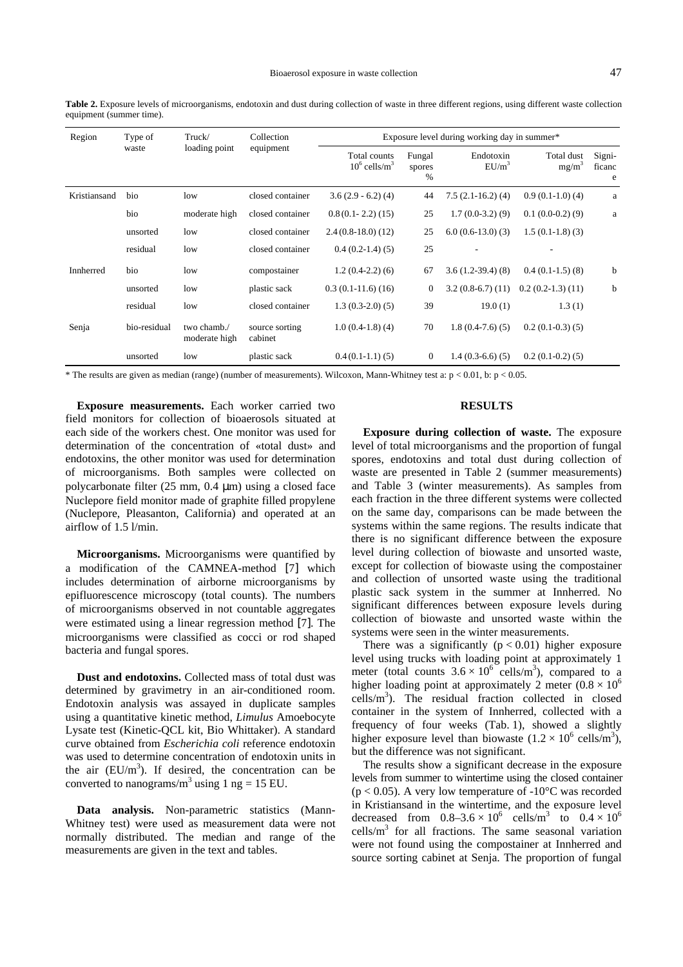**Table 2.** Exposure levels of microorganisms, endotoxin and dust during collection of waste in three different regions, using different waste collection equipment (summer time).

| Region       | Truck/<br>Type of |                              | Collection                                               | Exposure level during working day in summer* |                          |                       |                                 |                       |  |  |  |
|--------------|-------------------|------------------------------|----------------------------------------------------------|----------------------------------------------|--------------------------|-----------------------|---------------------------------|-----------------------|--|--|--|
|              | waste             | loading point                | equipment<br>Total counts<br>$10^6$ cells/m <sup>3</sup> |                                              | Fungal<br>spores<br>$\%$ | Endotoxin<br>$EU/m^3$ | Total dust<br>mg/m <sup>3</sup> | Signi-<br>ficanc<br>e |  |  |  |
| Kristiansand | bio               | low                          | closed container                                         | $3.6(2.9 - 6.2)(4)$                          | 44                       | $7.5(2.1-16.2)(4)$    | $0.9(0.1-1.0)(4)$               | a                     |  |  |  |
|              | bio               | moderate high                | closed container                                         | $0.8(0.1 - 2.2)(15)$                         | 25                       | $1.7(0.0-3.2)(9)$     | $0.1(0.0-0.2)(9)$               | $\rm{a}$              |  |  |  |
|              | unsorted          | low                          | closed container                                         | $2.4(0.8-18.0)(12)$                          | 25                       | $6.0(0.6-13.0(3)$     | $1.5(0.1-1.8)(3)$               |                       |  |  |  |
|              | residual          | low                          | closed container                                         | $0.4(0.2-1.4)(5)$                            | 25                       |                       |                                 |                       |  |  |  |
| Innherred    | bio               | low                          | compostainer                                             | $1.2(0.4-2.2)(6)$                            | 67                       | $3.6(1.2-39.4)(8)$    | $0.4(0.1-1.5)(8)$               | b                     |  |  |  |
|              | unsorted          | low                          | plastic sack                                             | $0.3(0.1-11.6)(16)$                          | $\mathbf{0}$             | $3.2(0.8-6.7)(11)$    | $0.2(0.2-1.3)(11)$              | b                     |  |  |  |
|              | residual          | low                          | closed container                                         | $1.3(0.3-2.0)(5)$                            | 39                       | 19.0(1)               | 1.3(1)                          |                       |  |  |  |
| Senja        | bio-residual      | two chamb./<br>moderate high | source sorting<br>cabinet                                | $1.0(0.4-1.8)(4)$                            | 70                       | $1.8(0.4-7.6)(5)$     | $0.2(0.1-0.3)(5)$               |                       |  |  |  |
|              | unsorted          | low                          | plastic sack                                             | $0.4(0.1-1.1)(5)$                            | $\overline{0}$           | $1.4(0.3-6.6)(5)$     | $0.2(0.1-0.2)(5)$               |                       |  |  |  |

\* The results are given as median (range) (number of measurements). Wilcoxon, Mann-Whitney test a:  $p < 0.01$ , b:  $p < 0.05$ .

**Exposure measurements.** Each worker carried two field monitors for collection of bioaerosols situated at each side of the workers chest. One monitor was used for determination of the concentration of «total dust» and endotoxins, the other monitor was used for determination of microorganisms. Both samples were collected on polycarbonate filter (25 mm, 0.4 µm) using a closed face Nuclepore field monitor made of graphite filled propylene (Nuclepore, Pleasanton, California) and operated at an airflow of 1.5 l/min.

**Microorganisms.** Microorganisms were quantified by a modification of the CAMNEA-method [7] which includes determination of airborne microorganisms by epifluorescence microscopy (total counts). The numbers of microorganisms observed in not countable aggregates were estimated using a linear regression method [7]. The microorganisms were classified as cocci or rod shaped bacteria and fungal spores.

**Dust and endotoxins.** Collected mass of total dust was determined by gravimetry in an air-conditioned room. Endotoxin analysis was assayed in duplicate samples using a quantitative kinetic method, *Limulus* Amoebocyte Lysate test (Kinetic-QCL kit, Bio Whittaker). A standard curve obtained from *Escherichia coli* reference endotoxin was used to determine concentration of endotoxin units in the air  $(EU/m^3)$ . If desired, the concentration can be converted to nanograms/ $m^3$  using 1 ng = 15 EU.

**Data analysis.** Non-parametric statistics (Mann-Whitney test) were used as measurement data were not normally distributed. The median and range of the measurements are given in the text and tables.

#### **RESULTS**

**Exposure during collection of waste.** The exposure level of total microorganisms and the proportion of fungal spores, endotoxins and total dust during collection of waste are presented in Table 2 (summer measurements) and [Table 3](#page-3-0) (winter measurements). As samples from each fraction in the three different systems were collected on the same day, comparisons can be made between the systems within the same regions. The results indicate that there is no significant difference between the exposure level during collection of biowaste and unsorted waste, except for collection of biowaste using the compostainer and collection of unsorted waste using the traditional plastic sack system in the summer at Innherred. No significant differences between exposure levels during collection of biowaste and unsorted waste within the systems were seen in the winter measurements.

There was a significantly  $(p < 0.01)$  higher exposure level using trucks with loading point at approximately 1 meter (total counts  $3.6 \times 10^6$  cells/m<sup>3</sup>), compared to a higher loading point at approximately 2 meter  $(0.8 \times 10^6$ cells/m3 ). The residual fraction collected in closed container in the system of Innherred, collected with a frequency of four weeks [\(Tab. 1\),](#page-1-0) showed a slightly higher exposure level than biowaste  $(1.2 \times 10^6 \text{ cells/m}^3)$ , but the difference was not significant.

The results show a significant decrease in the exposure levels from summer to wintertime using the closed container  $(p < 0.05)$ . A very low temperature of  $-10^{\circ}$ C was recorded in Kristiansand in the wintertime, and the exposure level decreased from  $0.8-3.6 \times 10^6$  cells/m<sup>3</sup> to  $0.4 \times 10^6$ cells/ $m<sup>3</sup>$  for all fractions. The same seasonal variation were not found using the compostainer at Innherred and source sorting cabinet at Senja. The proportion of fungal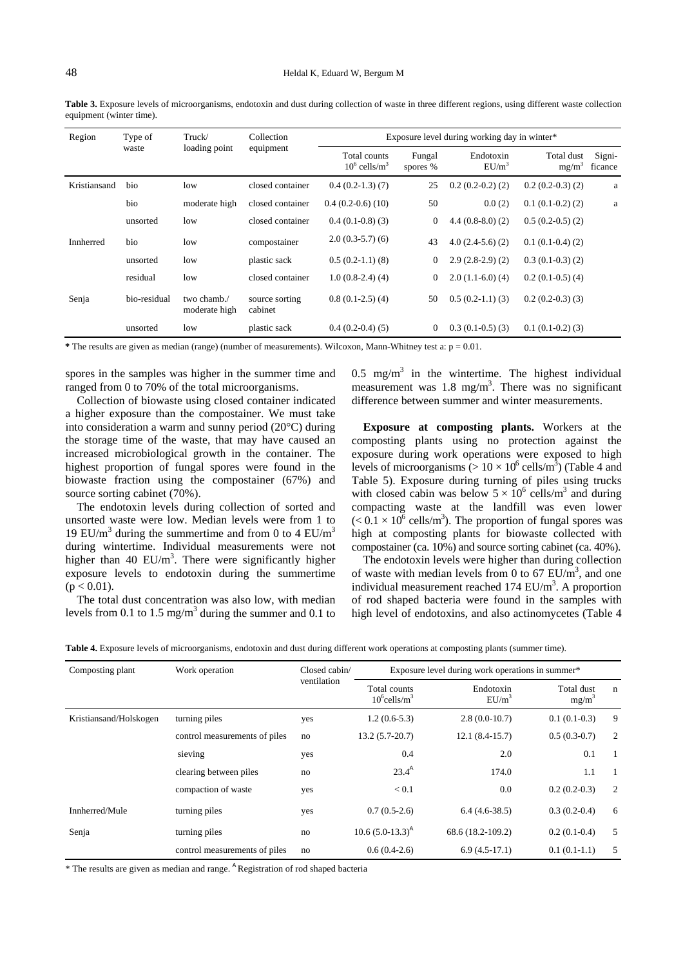<span id="page-3-0"></span>**Table 3.** Exposure levels of microorganisms, endotoxin and dust during collection of waste in three different regions, using different waste collection equipment (winter time).

| Region       | Type of      | Truck/                       | Collection                | Exposure level during working day in winter* |                    |                       |                        |                   |  |  |  |  |
|--------------|--------------|------------------------------|---------------------------|----------------------------------------------|--------------------|-----------------------|------------------------|-------------------|--|--|--|--|
|              | waste        | loading point                | equipment                 | Total counts<br>$10^6$ cells/m <sup>3</sup>  | Fungal<br>spores % | Endotoxin<br>$EU/m^3$ | Total dust<br>$mg/m^3$ | Signi-<br>ficance |  |  |  |  |
| Kristiansand | bio          | low                          | closed container          | $0.4(0.2-1.3)(7)$                            | 25                 | $0.2(0.2-0.2)(2)$     | $0.2(0.2-0.3)(2)$      | a                 |  |  |  |  |
|              | bio          | moderate high                | closed container          | $0.4(0.2-0.6)(10)$                           | 50                 | 0.0(2)                | $0.1(0.1-0.2)(2)$      | a                 |  |  |  |  |
|              | unsorted     | low                          | closed container          | $0.4(0.1-0.8)(3)$                            | $\theta$           | $4.4(0.8-8.0)(2)$     | $0.5(0.2-0.5)(2)$      |                   |  |  |  |  |
| Innherred    | bio          | low                          | compostainer              | $2.0(0.3-5.7)(6)$                            | 43                 | $4.0(2.4-5.6)(2)$     | $0.1(0.1-0.4)(2)$      |                   |  |  |  |  |
|              | unsorted     | low                          | plastic sack              | $0.5(0.2-1.1)(8)$                            | $\theta$           | $2.9(2.8-2.9)(2)$     | $0.3(0.1-0.3)(2)$      |                   |  |  |  |  |
|              | residual     | low                          | closed container          | $1.0(0.8-2.4)(4)$                            | $\theta$           | $2.0(1.1-6.0)(4)$     | $0.2(0.1-0.5)(4)$      |                   |  |  |  |  |
| Senja        | bio-residual | two chamb./<br>moderate high | source sorting<br>cabinet | $0.8(0.1-2.5)(4)$                            | 50                 | $0.5(0.2-1.1)(3)$     | $0.2(0.2-0.3)(3)$      |                   |  |  |  |  |
|              | unsorted     | low                          | plastic sack              | $0.4(0.2-0.4)(5)$                            | $\overline{0}$     | $0.3(0.1-0.5)(3)$     | $0.1(0.1-0.2)(3)$      |                   |  |  |  |  |

**\*** The results are given as median (range) (number of measurements). Wilcoxon, Mann-Whitney test a: p = 0.01.

spores in the samples was higher in the summer time and ranged from 0 to 70% of the total microorganisms.

Collection of biowaste using closed container indicated a higher exposure than the compostainer. We must take into consideration a warm and sunny period (20°C) during the storage time of the waste, that may have caused an increased microbiological growth in the container. The highest proportion of fungal spores were found in the biowaste fraction using the compostainer (67%) and source sorting cabinet (70%).

The endotoxin levels during collection of sorted and unsorted waste were low. Median levels were from 1 to 19 EU/m<sup>3</sup> during the summertime and from 0 to 4 EU/m<sup>3</sup> during wintertime. Individual measurements were not higher than 40  $EU/m<sup>3</sup>$ . There were significantly higher exposure levels to endotoxin during the summertime  $(p < 0.01)$ .

The total dust concentration was also low, with median levels from 0.1 to 1.5 mg/m<sup>3</sup> during the summer and 0.1 to

0.5 mg/m<sup>3</sup> in the wintertime. The highest individual measurement was  $1.8 \text{ mg/m}^3$ . There was no significant difference between summer and winter measurements.

**Exposure at composting plants.** Workers at the composting plants using no protection against the exposure during work operations were exposed to high levels of microorganisms ( $> 10 \times 10^6$  cells/m<sup>3</sup>) (Table 4 and [Table 5\).](#page-4-0) Exposure during turning of piles using trucks with closed cabin was below  $5 \times 10^6$  cells/m<sup>3</sup> and during compacting waste at the landfill was even lower  $(< 0.1 \times 10^6 \text{ cells/m}^3)$ . The proportion of fungal spores was high at composting plants for biowaste collected with compostainer (ca. 10%) and source sorting cabinet (ca. 40%).

The endotoxin levels were higher than during collection of waste with median levels from 0 to 67  $EU/m^3$ , and one individual measurement reached  $174$  EU/m<sup>3</sup>. A proportion of rod shaped bacteria were found in the samples with high level of endotoxins, and also actinomycetes (Table 4

|  |  |  |  |  |  | Table 4. Exposure levels of microorganisms, endotoxin and dust during different work operations at composting plants (summer time). |  |
|--|--|--|--|--|--|-------------------------------------------------------------------------------------------------------------------------------------|--|
|  |  |  |  |  |  |                                                                                                                                     |  |

| Composting plant       | Work operation                | Closed cabin/<br>ventilation | Exposure level during work operations in summer* |                       |                        |                |  |  |  |
|------------------------|-------------------------------|------------------------------|--------------------------------------------------|-----------------------|------------------------|----------------|--|--|--|
|                        |                               |                              | Total counts<br>$10^6$ cells/m <sup>3</sup>      | Endotoxin<br>$EU/m^3$ | Total dust<br>$mg/m^3$ | $\mathbf n$    |  |  |  |
| Kristiansand/Holskogen | turning piles                 | yes                          | $1.2(0.6-5.3)$                                   | $2.8(0.0-10.7)$       | $0.1(0.1-0.3)$         | 9              |  |  |  |
|                        | control measurements of piles |                              | $13.2(5.7-20.7)$                                 | $12.1(8.4-15.7)$      | $0.5(0.3-0.7)$         | 2              |  |  |  |
|                        | sieving                       | yes                          | 0.4                                              | 2.0                   | 0.1                    | $\overline{1}$ |  |  |  |
|                        | clearing between piles        | no                           | $23.4^{A}$                                       | 174.0                 | 1.1                    | $\overline{1}$ |  |  |  |
|                        | compaction of waste           | yes                          | < 0.1                                            | 0.0                   | $0.2(0.2-0.3)$         | 2              |  |  |  |
| Innherred/Mule         | turning piles                 | yes                          | $0.7(0.5-2.6)$                                   | $6.4(4.6-38.5)$       | $0.3(0.2-0.4)$         | 6              |  |  |  |
| Senja                  | turning piles                 | no                           | $10.6 (5.0 - 13.3)^{A}$                          | 68.6 (18.2-109.2)     | $0.2(0.1-0.4)$         | 5              |  |  |  |
|                        | control measurements of piles | no                           | $0.6(0.4-2.6)$                                   | $6.9(4.5-17.1)$       | $0.1(0.1-1.1)$         | 5              |  |  |  |

\* The results are given as median and range. <sup>A</sup> Registration of rod shaped bacteria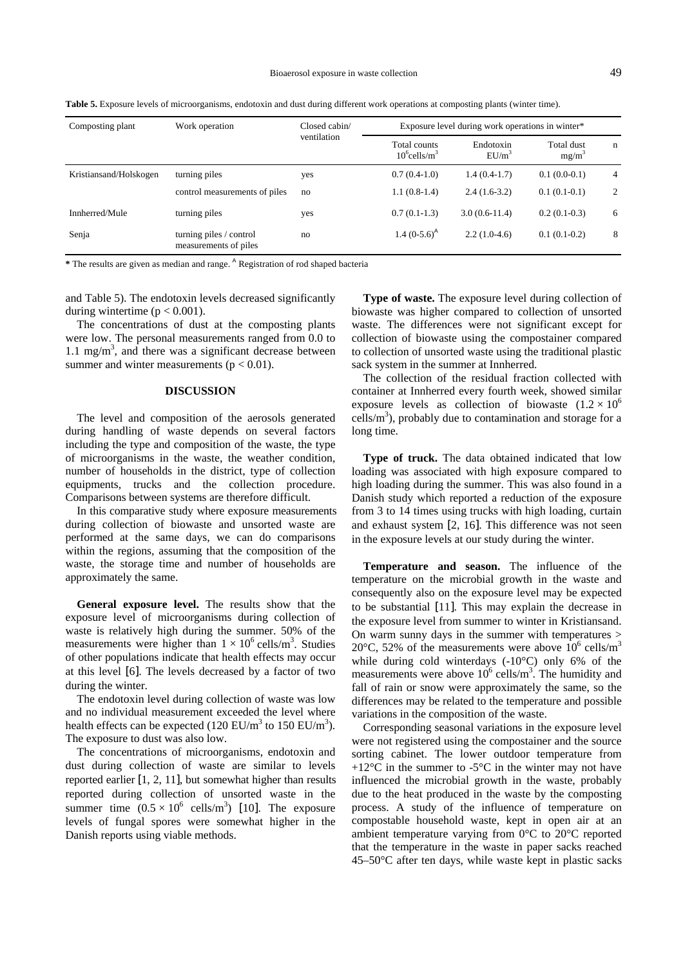<span id="page-4-0"></span>**Table 5.** Exposure levels of microorganisms, endotoxin and dust during different work operations at composting plants (winter time).

| Composting plant       | Work operation                                   | Closed cabin/ | Exposure level during work operations in winter* |                       |                        |                |  |  |
|------------------------|--------------------------------------------------|---------------|--------------------------------------------------|-----------------------|------------------------|----------------|--|--|
|                        |                                                  | ventilation   | Total counts<br>$10^6$ cells/m <sup>3</sup>      | Endotoxin<br>$EU/m^3$ | Total dust<br>$mg/m^3$ | n              |  |  |
| Kristiansand/Holskogen | turning piles                                    | yes           | $0.7(0.4-1.0)$                                   | $1.4(0.4-1.7)$        | $0.1(0.0-0.1)$         | $\overline{4}$ |  |  |
|                        | control measurements of piles                    | no            | $1.1(0.8-1.4)$                                   | $2.4(1.6-3.2)$        | $0.1(0.1-0.1)$         | 2              |  |  |
| Innherred/Mule         | turning piles                                    | yes           | $0.7(0.1-1.3)$                                   | $3.0(0.6-11.4)$       | $0.2(0.1-0.3)$         | 6              |  |  |
| Senja                  | turning piles / control<br>measurements of piles | no            | 1.4 $(0-5.6)^{A}$                                | $2.2(1.0-4.6)$        | $0.1(0.1-0.2)$         | 8              |  |  |

**\*** The results are given as median and range. <sup>A</sup> Registration of rod shaped bacteria

and Table 5). The endotoxin levels decreased significantly during wintertime ( $p < 0.001$ ).

The concentrations of dust at the composting plants were low. The personal measurements ranged from 0.0 to  $1.1 \text{ mg/m}^3$ , and there was a significant decrease between summer and winter measurements ( $p < 0.01$ ).

### **DISCUSSION**

The level and composition of the aerosols generated during handling of waste depends on several factors including the type and composition of the waste, the type of microorganisms in the waste, the weather condition, number of households in the district, type of collection equipments, trucks and the collection procedure. Comparisons between systems are therefore difficult.

In this comparative study where exposure measurements during collection of biowaste and unsorted waste are performed at the same days, we can do comparisons within the regions, assuming that the composition of the waste, the storage time and number of households are approximately the same.

**General exposure level.** The results show that the exposure level of microorganisms during collection of waste is relatively high during the summer. 50% of the measurements were higher than  $1 \times 10^6$  cells/m<sup>3</sup>. Studies of other populations indicate that health effects may occur at this level [6]. The levels decreased by a factor of two during the winter.

The endotoxin level during collection of waste was low and no individual measurement exceeded the level where health effects can be expected  $(120 \text{ EU/m}^3 \text{ to } 150 \text{ EU/m}^3)$ . The exposure to dust was also low.

The concentrations of microorganisms, endotoxin and dust during collection of waste are similar to levels reported earlier [1, 2, 11], but somewhat higher than results reported during collection of unsorted waste in the summer time  $(0.5 \times 10^6 \text{ cells/m}^3)$  [10]. The exposure levels of fungal spores were somewhat higher in the Danish reports using viable methods.

**Type of waste.** The exposure level during collection of biowaste was higher compared to collection of unsorted waste. The differences were not significant except for collection of biowaste using the compostainer compared to collection of unsorted waste using the traditional plastic sack system in the summer at Innherred.

The collection of the residual fraction collected with container at Innherred every fourth week, showed similar exposure levels as collection of biowaste  $(1.2 \times 10^6$  $\text{cells/m}^3$ ), probably due to contamination and storage for a long time.

**Type of truck.** The data obtained indicated that low loading was associated with high exposure compared to high loading during the summer. This was also found in a Danish study which reported a reduction of the exposure from 3 to 14 times using trucks with high loading, curtain and exhaust system [2, 16]. This difference was not seen in the exposure levels at our study during the winter.

**Temperature and season.** The influence of the temperature on the microbial growth in the waste and consequently also on the exposure level may be expected to be substantial [11]. This may explain the decrease in the exposure level from summer to winter in Kristiansand. On warm sunny days in the summer with temperatures > 20 $\degree$ C, 52% of the measurements were above  $10^6$  cells/m<sup>3</sup> while during cold winterdays (-10°C) only 6% of the measurements were above  $10^6$  cells/m<sup>3</sup>. The humidity and fall of rain or snow were approximately the same, so the differences may be related to the temperature and possible variations in the composition of the waste.

Corresponding seasonal variations in the exposure level were not registered using the compostainer and the source sorting cabinet. The lower outdoor temperature from +12 $^{\circ}$ C in the summer to -5 $^{\circ}$ C in the winter may not have influenced the microbial growth in the waste, probably due to the heat produced in the waste by the composting process. A study of the influence of temperature on compostable household waste, kept in open air at an ambient temperature varying from 0°C to 20°C reported that the temperature in the waste in paper sacks reached 45–50°C after ten days, while waste kept in plastic sacks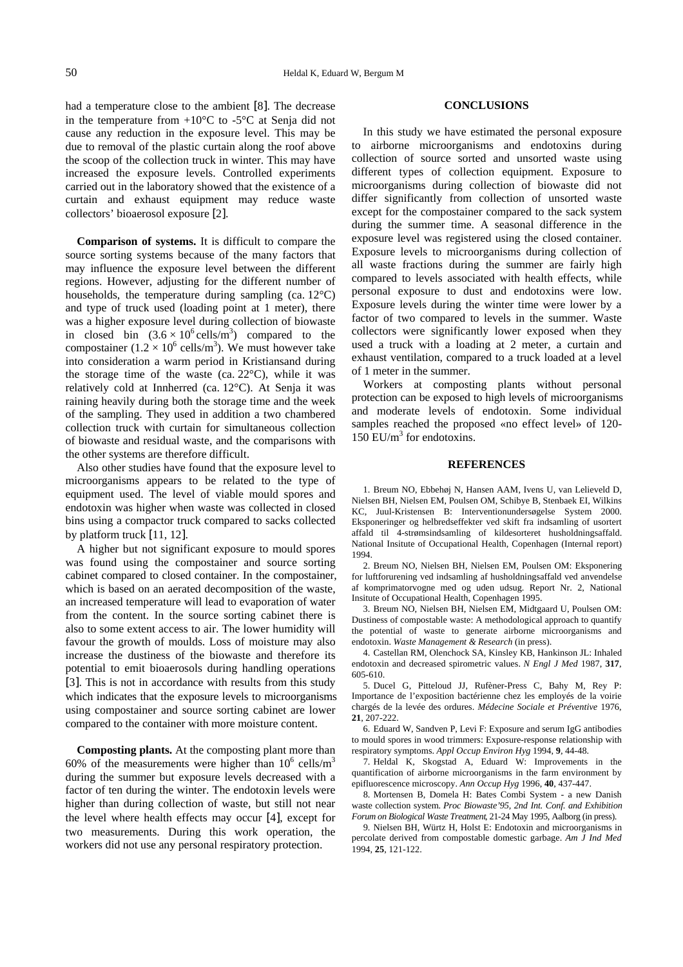had a temperature close to the ambient [8]. The decrease in the temperature from  $+10^{\circ}$ C to  $-5^{\circ}$ C at Senja did not cause any reduction in the exposure level. This may be due to removal of the plastic curtain along the roof above the scoop of the collection truck in winter. This may have increased the exposure levels. Controlled experiments carried out in the laboratory showed that the existence of a curtain and exhaust equipment may reduce waste collectors' bioaerosol exposure [2].

**Comparison of systems.** It is difficult to compare the source sorting systems because of the many factors that may influence the exposure level between the different regions. However, adjusting for the different number of households, the temperature during sampling (ca. 12°C) and type of truck used (loading point at 1 meter), there was a higher exposure level during collection of biowaste in closed bin  $(3.6 \times 10^6 \text{ cells/m}^3)$  compared to the compostainer  $(1.2 \times 10^6 \text{ cells/m}^3)$ . We must however take into consideration a warm period in Kristiansand during the storage time of the waste (ca.  $22^{\circ}$ C), while it was relatively cold at Innherred (ca. 12°C). At Senja it was raining heavily during both the storage time and the week of the sampling. They used in addition a two chambered collection truck with curtain for simultaneous collection of biowaste and residual waste, and the comparisons with the other systems are therefore difficult.

Also other studies have found that the exposure level to microorganisms appears to be related to the type of equipment used. The level of viable mould spores and endotoxin was higher when waste was collected in closed bins using a compactor truck compared to sacks collected by platform truck [11, 12].

A higher but not significant exposure to mould spores was found using the compostainer and source sorting cabinet compared to closed container. In the compostainer, which is based on an aerated decomposition of the waste, an increased temperature will lead to evaporation of water from the content. In the source sorting cabinet there is also to some extent access to air. The lower humidity will favour the growth of moulds. Loss of moisture may also increase the dustiness of the biowaste and therefore its potential to emit bioaerosols during handling operations [3]. This is not in accordance with results from this study which indicates that the exposure levels to microorganisms using compostainer and source sorting cabinet are lower compared to the container with more moisture content.

**Composting plants.** At the composting plant more than 60% of the measurements were higher than  $10^6$  cells/m<sup>3</sup> during the summer but exposure levels decreased with a factor of ten during the winter. The endotoxin levels were higher than during collection of waste, but still not near the level where health effects may occur [4], except for two measurements. During this work operation, the workers did not use any personal respiratory protection.

#### **CONCLUSIONS**

In this study we have estimated the personal exposure to airborne microorganisms and endotoxins during collection of source sorted and unsorted waste using different types of collection equipment. Exposure to microorganisms during collection of biowaste did not differ significantly from collection of unsorted waste except for the compostainer compared to the sack system during the summer time. A seasonal difference in the exposure level was registered using the closed container. Exposure levels to microorganisms during collection of all waste fractions during the summer are fairly high compared to levels associated with health effects, while personal exposure to dust and endotoxins were low. Exposure levels during the winter time were lower by a factor of two compared to levels in the summer. Waste collectors were significantly lower exposed when they used a truck with a loading at 2 meter, a curtain and exhaust ventilation, compared to a truck loaded at a level of 1 meter in the summer.

Workers at composting plants without personal protection can be exposed to high levels of microorganisms and moderate levels of endotoxin. Some individual samples reached the proposed «no effect level» of 120-  $150$  EU/m<sup>3</sup> for endotoxins.

#### **REFERENCES**

1. Breum NO, Ebbehøj N, Hansen AAM, Ivens U, van Lelieveld D, Nielsen BH, Nielsen EM, Poulsen OM, Schibye B, Stenbaek EI, Wilkins KC, Juul-Kristensen B: Interventionundersøgelse System 2000. Eksponeringer og helbredseffekter ved skift fra indsamling of usortert affald til 4-strømsindsamling of kildesorteret husholdningsaffald. National Insitute of Occupational Health, Copenhagen (Internal report) 1994.

2. Breum NO, Nielsen BH, Nielsen EM, Poulsen OM: Eksponering for luftforurening ved indsamling af husholdningsaffald ved anvendelse af komprimatorvogne med og uden udsug. Report Nr. 2, National Insitute of Occupational Health, Copenhagen 1995.

3. Breum NO, Nielsen BH, Nielsen EM, Midtgaard U, Poulsen OM: Dustiness of compostable waste: A methodological approach to quantify the potential of waste to generate airborne microorganisms and endotoxin. *Waste Management & Research* (in press).

4. Castellan RM, Olenchock SA, Kinsley KB, Hankinson JL: Inhaled endotoxin and decreased spirometric values. *N Engl J Med* 1987, **317**, 605-610.

5. Ducel G, Pitteloud JJ, Rufèner-Press C, Bahy M, Rey P: Importance de l'exposition bactérienne chez les employés de la voirie chargés de la levée des ordures. *Médecine Sociale et Préventive* 1976, **21**, 207-222.

6. Eduard W, Sandven P, Levi F: Exposure and serum IgG antibodies to mould spores in wood trimmers: Exposure-response relationship with respiratory symptoms. *Appl Occup Environ Hyg* 1994, **9**, 44-48.

7. Heldal K, Skogstad A, Eduard W: Improvements in the quantification of airborne microorganisms in the farm environment by epifluorescence microscopy. *Ann Occup Hyg* 1996, **40**, 437-447.

8. Mortensen B, Domela H: Bates Combi System - a new Danish waste collection system. *Proc Biowaste'95, 2nd Int. Conf. and Exhibition Forum on Biological Waste Treatment*, 21-24 May 1995, Aalborg (in press).

9. Nielsen BH, Würtz H, Holst E: Endotoxin and microorganisms in percolate derived from compostable domestic garbage. *Am J Ind Med* 1994, **25**, 121-122.